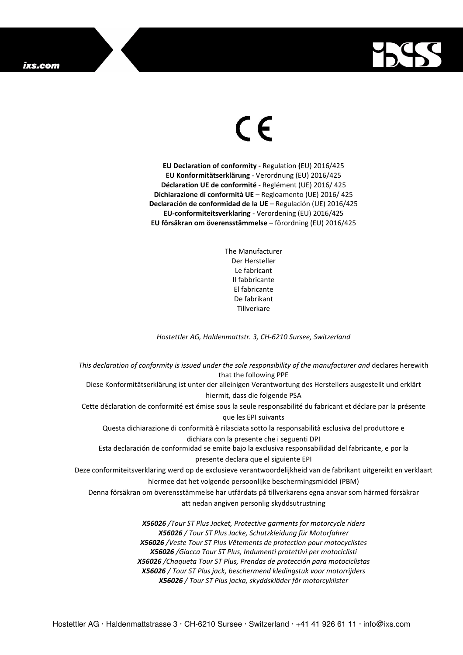## ixs.com



## $\in$

**EU Declaration of conformity -** Regulation **(**EU) 2016/425 **EU Konformitätserklärung** - Verordnung (EU) 2016/425 **Déclaration UE de conformité** - Reglément (UE) 2016/ 425 **Dichiarazione di conformità UE** – Regloamento (UE) 2016/ 425 **Declaración de conformidad de la UE** – Regulación (UE) 2016/425 **EU-conformiteitsverklaring** - Verordening (EU) 2016/425 **EU försäkran om överensstämmelse** – förordning (EU) 2016/425

> The Manufacturer Der Hersteller Le fabricant Il fabbricante El fabricante De fabrikant **Tillverkare**

*Hostettler AG, Haldenmattstr. 3, CH-6210 Sursee, Switzerland* 

*This declaration of conformity is issued under the sole responsibility of the manufacturer and* declares herewith that the following PPE Diese Konformitätserklärung ist unter der alleinigen Verantwortung des Herstellers ausgestellt und erklärt hiermit, dass die folgende PSA Cette déclaration de conformité est émise sous la seule responsabilité du fabricant et déclare par la présente que les EPI suivants Questa dichiarazione di conformità è rilasciata sotto la responsabilità esclusiva del produttore e dichiara con la presente che i seguenti DPI Esta declaración de conformidad se emite bajo la exclusiva responsabilidad del fabricante, e por la presente declara que el siguiente EPI Deze conformiteitsverklaring werd op de exclusieve verantwoordelijkheid van de fabrikant uitgereikt en verklaart hiermee dat het volgende persoonlijke beschermingsmiddel (PBM) Denna försäkran om överensstämmelse har utfärdats på tillverkarens egna ansvar som härmed försäkrar att nedan angiven personlig skyddsutrustning *X56026 /Tour ST Plus Jacket, Protective garments for motorcycle riders X56026 / Tour ST Plus Jacke, Schutzkleidung für Motorfahrer X56026 /Veste Tour ST Plus Vêtements de protection pour motocyclistes X56026 /Giacca Tour ST Plus, Indumenti protettivi per motociclisti X56026 /Chaqueta Tour ST Plus, Prendas de protección para motociclistas* 

> *X56026 / Tour ST Plus jack, beschermend kledingstuk voor motorrijders X56026 / Tour ST Plus jacka, skyddskläder för motorcyklister*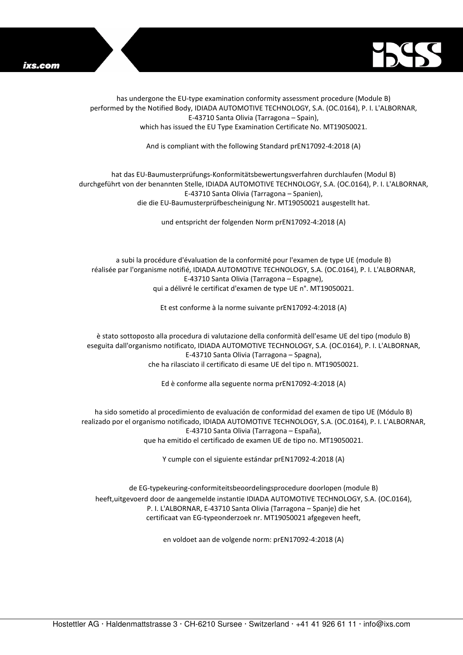



has undergone the EU-type examination conformity assessment procedure (Module B) performed by the Notified Body, IDIADA AUTOMOTIVE TECHNOLOGY, S.A. (OC.0164), P. I. L'ALBORNAR, E-43710 Santa Olivia (Tarragona – Spain), which has issued the EU Type Examination Certificate No. MT19050021.

And is compliant with the following Standard prEN17092-4:2018 (A)

## hat das EU-Baumusterprüfungs-Konformitätsbewertungsverfahren durchlaufen (Modul B) durchgeführt von der benannten Stelle, IDIADA AUTOMOTIVE TECHNOLOGY, S.A. (OC.0164), P. I. L'ALBORNAR, E-43710 Santa Olivia (Tarragona – Spanien), die die EU-Baumusterprüfbescheinigung Nr. MT19050021 ausgestellt hat.

und entspricht der folgenden Norm prEN17092-4:2018 (A)

a subi la procédure d'évaluation de la conformité pour l'examen de type UE (module B) réalisée par l'organisme notifié, IDIADA AUTOMOTIVE TECHNOLOGY, S.A. (OC.0164), P. I. L'ALBORNAR, E-43710 Santa Olivia (Tarragona – Espagne), qui a délivré le certificat d'examen de type UE n°. MT19050021.

Et est conforme à la norme suivante prEN17092-4:2018 (A)

è stato sottoposto alla procedura di valutazione della conformità dell'esame UE del tipo (modulo B) eseguita dall'organismo notificato, IDIADA AUTOMOTIVE TECHNOLOGY, S.A. (OC.0164), P. I. L'ALBORNAR, E-43710 Santa Olivia (Tarragona – Spagna), che ha rilasciato il certificato di esame UE del tipo n. MT19050021.

Ed è conforme alla seguente norma prEN17092-4:2018 (A)

ha sido sometido al procedimiento de evaluación de conformidad del examen de tipo UE (Módulo B) realizado por el organismo notificado, IDIADA AUTOMOTIVE TECHNOLOGY, S.A. (OC.0164), P. I. L'ALBORNAR, E-43710 Santa Olivia (Tarragona – España), que ha emitido el certificado de examen UE de tipo no. MT19050021.

Y cumple con el siguiente estándar prEN17092-4:2018 (A)

de EG-typekeuring-conformiteitsbeoordelingsprocedure doorlopen (module B) heeft,uitgevoerd door de aangemelde instantie IDIADA AUTOMOTIVE TECHNOLOGY, S.A. (OC.0164), P. I. L'ALBORNAR, E-43710 Santa Olivia (Tarragona – Spanje) die het certificaat van EG-typeonderzoek nr. MT19050021 afgegeven heeft,

en voldoet aan de volgende norm: prEN17092-4:2018 (A)